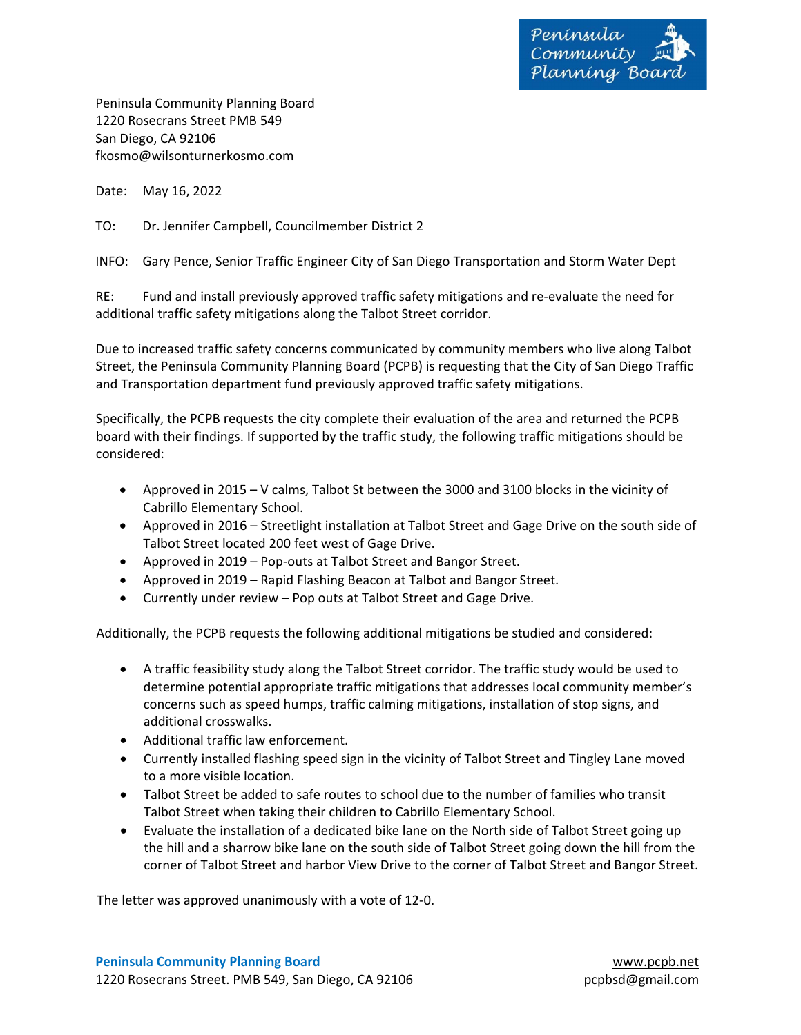

Peninsula Community Planning Board 1220 Rosecrans Street PMB 549 San Diego, CA 92106 fkosmo@wilsonturnerkosmo.com

Date: May 16, 2022

TO: Dr. Jennifer Campbell, Councilmember District 2

INFO: Gary Pence, Senior Traffic Engineer City of San Diego Transportation and Storm Water Dept

RE: Fund and install previously approved traffic safety mitigations and re‐evaluate the need for additional traffic safety mitigations along the Talbot Street corridor.

Due to increased traffic safety concerns communicated by community members who live along Talbot Street, the Peninsula Community Planning Board (PCPB) is requesting that the City of San Diego Traffic and Transportation department fund previously approved traffic safety mitigations.

Specifically, the PCPB requests the city complete their evaluation of the area and returned the PCPB board with their findings. If supported by the traffic study, the following traffic mitigations should be considered:

- Approved in 2015 V calms, Talbot St between the 3000 and 3100 blocks in the vicinity of Cabrillo Elementary School.
- Approved in 2016 Streetlight installation at Talbot Street and Gage Drive on the south side of Talbot Street located 200 feet west of Gage Drive.
- Approved in 2019 Pop-outs at Talbot Street and Bangor Street.
- Approved in 2019 Rapid Flashing Beacon at Talbot and Bangor Street.
- Currently under review Pop outs at Talbot Street and Gage Drive.

Additionally, the PCPB requests the following additional mitigations be studied and considered:

- A traffic feasibility study along the Talbot Street corridor. The traffic study would be used to determine potential appropriate traffic mitigations that addresses local community member's concerns such as speed humps, traffic calming mitigations, installation of stop signs, and additional crosswalks.
- Additional traffic law enforcement.
- Currently installed flashing speed sign in the vicinity of Talbot Street and Tingley Lane moved to a more visible location.
- Talbot Street be added to safe routes to school due to the number of families who transit Talbot Street when taking their children to Cabrillo Elementary School.
- Evaluate the installation of a dedicated bike lane on the North side of Talbot Street going up the hill and a sharrow bike lane on the south side of Talbot Street going down the hill from the corner of Talbot Street and harbor View Drive to the corner of Talbot Street and Bangor Street.

The letter was approved unanimously with a vote of 12‐0.